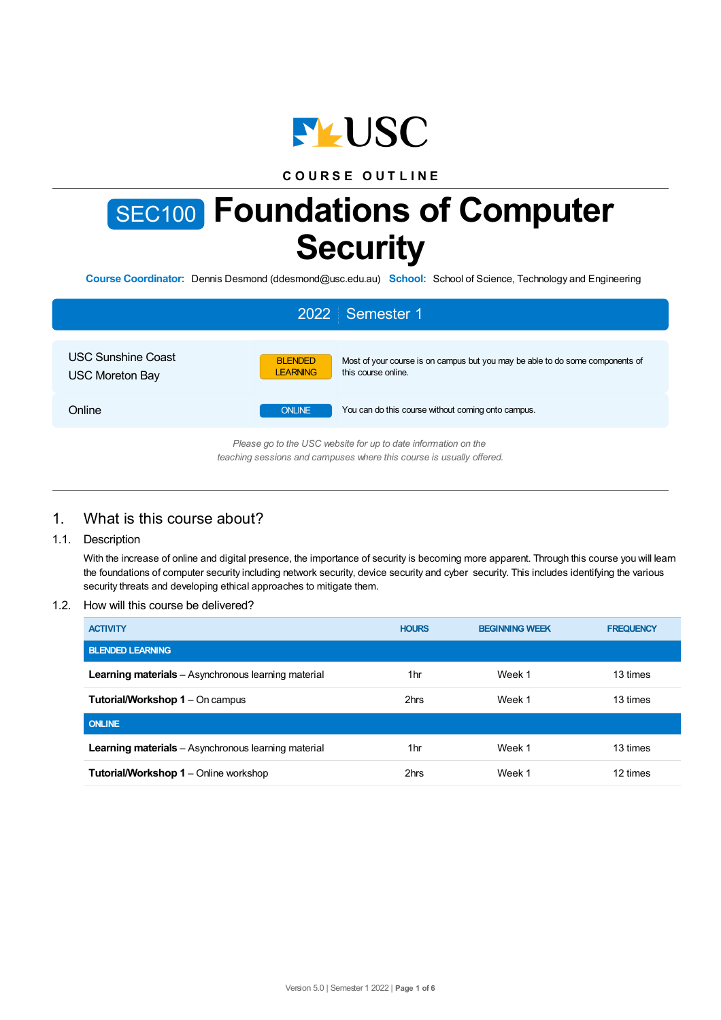

# **C O U R S E O U T L I N E**

# SEC100 **Foundations of Computer Security**

**Course Coordinator:** Dennis Desmond (ddesmond@usc.edu.au) **School:** School of Science, Technology and Engineering

|                                                     | 2022 Semester 1                                                                                                                           |
|-----------------------------------------------------|-------------------------------------------------------------------------------------------------------------------------------------------|
| <b>USC Sunshine Coast</b><br><b>USC Moreton Bay</b> | Most of your course is on campus but you may be able to do some components of<br><b>BLENDED</b><br><b>LEARNING</b><br>this course online. |
| Online                                              | <b>ONLINE</b><br>You can do this course without coming onto campus.                                                                       |
|                                                     | Please go to the USC website for up to date information on the<br>teaching sessions and campuses where this course is usually offered.    |

# 1. What is this course about?

## 1.1. Description

With the increase of online and digital presence, the importance of security is becoming more apparent. Through this course you will learn the foundations of computer security including network security, device security and cyber security. This includes identifying the various security threats and developing ethical approaches to mitigate them.

#### 1.2. How will this course be delivered?

| <b>ACTIVITY</b>                                            | <b>HOURS</b> | <b>BEGINNING WEEK</b> | <b>FREQUENCY</b> |
|------------------------------------------------------------|--------------|-----------------------|------------------|
| <b>BLENDED LEARNING</b>                                    |              |                       |                  |
| <b>Learning materials</b> – Asynchronous learning material | 1hr          | Week 1                | 13 times         |
| <b>Tutorial/Workshop 1 – On campus</b>                     | 2hrs         | Week 1                | 13 times         |
| <b>ONLINE</b>                                              |              |                       |                  |
| <b>Learning materials</b> – Asynchronous learning material | 1hr          | Week 1                | 13 times         |
| <b>Tutorial/Workshop 1 – Online workshop</b>               | 2hrs         | Week 1                | 12 times         |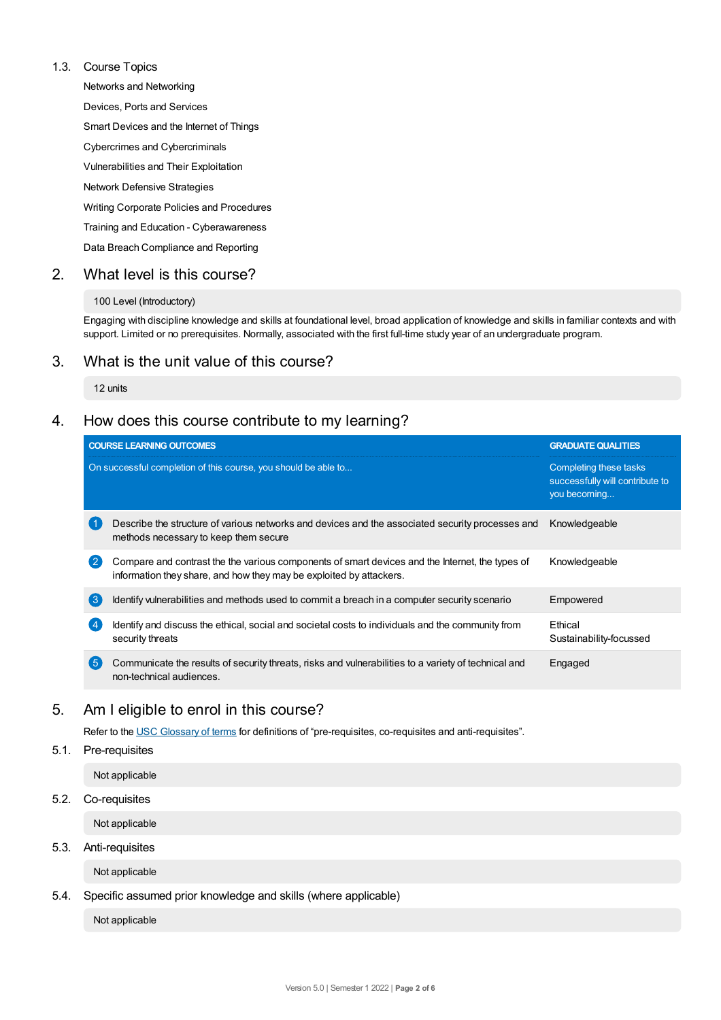#### 1.3. Course Topics

Networks and Networking

Devices, Ports and Services

Smart Devices and the Internet of Things

Cybercrimes and Cybercriminals

Vulnerabilities and Their Exploitation

Network Defensive Strategies

Writing Corporate Policies and Procedures

Training and Education - Cyberawareness

Data Breach Compliance and Reporting

# 2. What level is this course?

#### 100 Level (Introductory)

Engaging with discipline knowledge and skills at foundational level, broad application of knowledge and skills in familiar contexts and with support. Limited or no prerequisites. Normally, associated with the first full-time study year of an undergraduate program.

# 3. What is the unit value of this course?

#### 12 units

# 4. How does this course contribute to my learning?

|                | <b>COURSE LEARNING OUTCOMES</b>                                                                                                                                        | <b>GRADUATE QUALITIES</b>                                                 |  |
|----------------|------------------------------------------------------------------------------------------------------------------------------------------------------------------------|---------------------------------------------------------------------------|--|
|                | On successful completion of this course, you should be able to                                                                                                         | Completing these tasks<br>successfully will contribute to<br>you becoming |  |
|                | Describe the structure of various networks and devices and the associated security processes and<br>methods necessary to keep them secure                              | Knowledgeable                                                             |  |
| $\overline{2}$ | Compare and contrast the the various components of smart devices and the Internet, the types of<br>information they share, and how they may be exploited by attackers. | Knowledgeable                                                             |  |
| 【3             | Identify vulnerabilities and methods used to commit a breach in a computer security scenario                                                                           | Empowered                                                                 |  |
|                | Identify and discuss the ethical, social and societal costs to individuals and the community from<br>security threats                                                  | Ethical<br>Sustainability-focussed                                        |  |
| 6              | Communicate the results of security threats, risks and vulnerabilities to a variety of technical and<br>non-technical audiences.                                       | Engaged                                                                   |  |

# 5. Am Ieligible to enrol in this course?

Refer to the USC [Glossary](https://www.usc.edu.au/about/policies-and-procedures/glossary-of-terms-for-policy-and-procedures) of terms for definitions of "pre-requisites, co-requisites and anti-requisites".

## 5.1. Pre-requisites

Not applicable

#### 5.2. Co-requisites

Not applicable

#### 5.3. Anti-requisites

Not applicable

## 5.4. Specific assumed prior knowledge and skills (where applicable)

Not applicable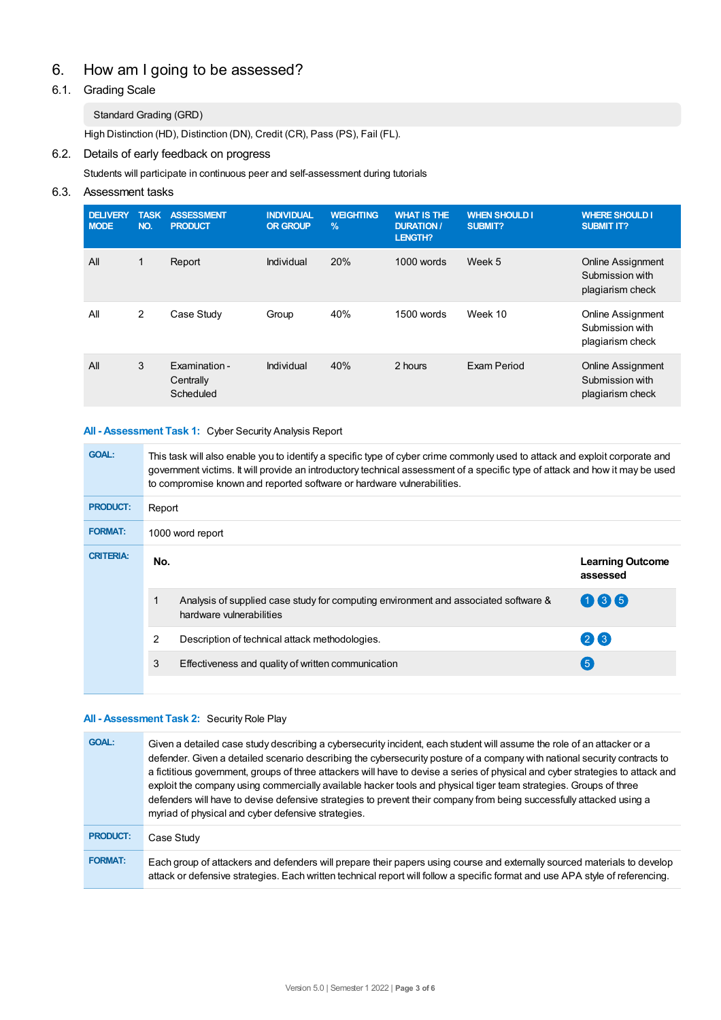# 6. How am Igoing to be assessed?

# 6.1. Grading Scale

## Standard Grading (GRD)

High Distinction (HD), Distinction (DN), Credit (CR), Pass (PS), Fail (FL).

## 6.2. Details of early feedback on progress

Students will participate in continuous peer and self-assessment during tutorials

## 6.3. Assessment tasks

| <b>DELIVERY</b><br><b>MODE</b> | <b>TASK</b><br>NO. | <b>ASSESSMENT</b><br><b>PRODUCT</b>     | <b>INDIVIDUAL</b><br><b>OR GROUP</b> | <b>WEIGHTING</b><br>$\frac{9}{6}$ | <b>WHAT IS THE</b><br><b>DURATION/</b><br><b>LENGTH?</b> | <b>WHEN SHOULD I</b><br>SUBMIT? | <b>WHERE SHOULD I</b><br><b>SUBMIT IT?</b>                      |
|--------------------------------|--------------------|-----------------------------------------|--------------------------------------|-----------------------------------|----------------------------------------------------------|---------------------------------|-----------------------------------------------------------------|
| All                            | 1                  | Report                                  | Individual                           | 20%                               | $1000$ words                                             | Week 5                          | <b>Online Assignment</b><br>Submission with<br>plagiarism check |
| All                            | $\overline{2}$     | Case Study                              | Group                                | 40%                               | 1500 words                                               | Week 10                         | <b>Online Assignment</b><br>Submission with<br>plagiarism check |
| All                            | 3                  | Examination -<br>Centrally<br>Scheduled | Individual                           | 40%                               | 2 hours                                                  | Exam Period                     | <b>Online Assignment</b><br>Submission with<br>plagiarism check |

#### **All - Assessment Task 1:** Cyber Security Analysis Report

| <b>GOAL:</b>     | This task will also enable you to identify a specific type of cyber crime commonly used to attack and exploit corporate and<br>government victims. It will provide an introductory technical assessment of a specific type of attack and how it may be used<br>to compromise known and reported software or hardware vulnerabilities. |                                                                                                                 |                                        |  |  |
|------------------|---------------------------------------------------------------------------------------------------------------------------------------------------------------------------------------------------------------------------------------------------------------------------------------------------------------------------------------|-----------------------------------------------------------------------------------------------------------------|----------------------------------------|--|--|
| <b>PRODUCT:</b>  | Report                                                                                                                                                                                                                                                                                                                                |                                                                                                                 |                                        |  |  |
| <b>FORMAT:</b>   | 1000 word report                                                                                                                                                                                                                                                                                                                      |                                                                                                                 |                                        |  |  |
| <b>CRITERIA:</b> | No.                                                                                                                                                                                                                                                                                                                                   |                                                                                                                 | <b>Learning Outcome</b><br>assessed    |  |  |
|                  |                                                                                                                                                                                                                                                                                                                                       | Analysis of supplied case study for computing environment and associated software &<br>hardware vulnerabilities | $\mathbf{0}$ $\mathbf{3}$ $\mathbf{6}$ |  |  |
|                  | 2                                                                                                                                                                                                                                                                                                                                     | Description of technical attack methodologies.                                                                  | $(2)$ $(3)$                            |  |  |
|                  | 3                                                                                                                                                                                                                                                                                                                                     | Effectiveness and quality of written communication                                                              | (5)                                    |  |  |
|                  |                                                                                                                                                                                                                                                                                                                                       |                                                                                                                 |                                        |  |  |

#### **All - Assessment Task 2:** Security Role Play

| <b>GOAL:</b>    | Given a detailed case study describing a cybersecurity incident, each student will assume the role of an attacker or a<br>defender. Given a detailed scenario describing the cybersecurity posture of a company with national security contracts to<br>a fictitious government, groups of three attackers will have to devise a series of physical and cyber strategies to attack and<br>exploit the company using commercially available hacker tools and physical tiger team strategies. Groups of three<br>defenders will have to devise defensive strategies to prevent their company from being successfully attacked using a<br>myriad of physical and cyber defensive strategies. |
|-----------------|------------------------------------------------------------------------------------------------------------------------------------------------------------------------------------------------------------------------------------------------------------------------------------------------------------------------------------------------------------------------------------------------------------------------------------------------------------------------------------------------------------------------------------------------------------------------------------------------------------------------------------------------------------------------------------------|
| <b>PRODUCT:</b> | Case Study                                                                                                                                                                                                                                                                                                                                                                                                                                                                                                                                                                                                                                                                               |
| <b>FORMAT:</b>  | Each group of attackers and defenders will prepare their papers using course and externally sourced materials to develop<br>attack or defensive strategies. Each written technical report will follow a specific format and use APA style of referencing.                                                                                                                                                                                                                                                                                                                                                                                                                                |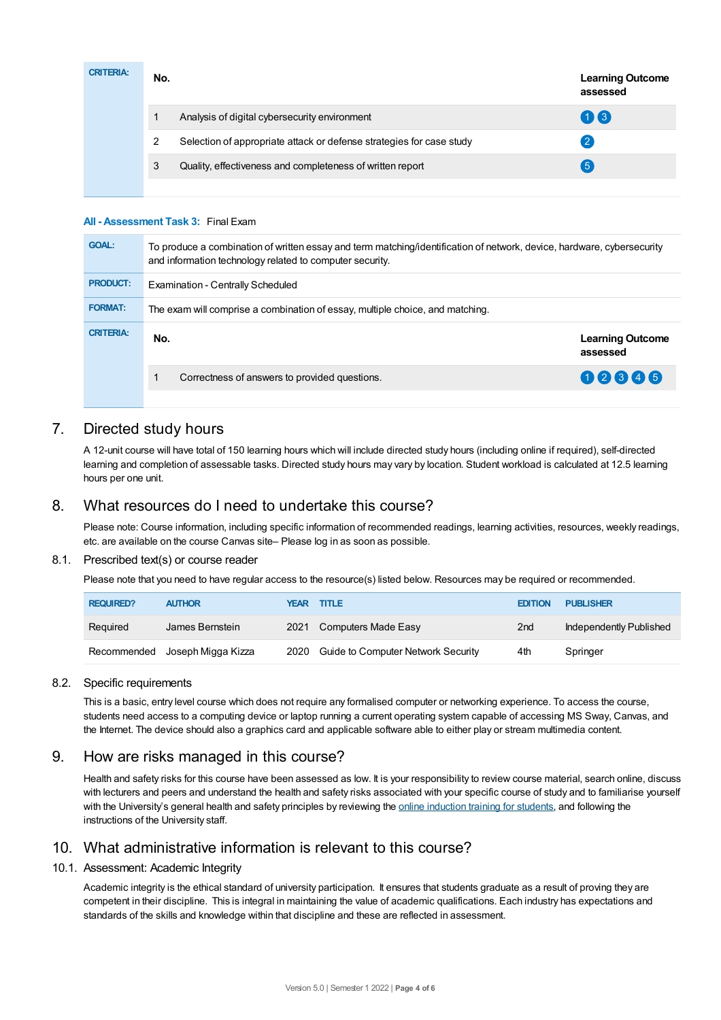| <b>CRITERIA:</b> | No. |                                                                      | <b>Learning Outcome</b><br>assessed |
|------------------|-----|----------------------------------------------------------------------|-------------------------------------|
|                  |     | Analysis of digital cybersecurity environment                        | 03                                  |
|                  | 2   | Selection of appropriate attack or defense strategies for case study | 2                                   |
|                  | 3   | Quality, effectiveness and completeness of written report            | 5                                   |
|                  |     |                                                                      |                                     |

#### **All - Assessment Task 3:** Final Exam

| <b>GOAL:</b>     | To produce a combination of written essay and term matching/identification of network, device, hardware, cybersecurity<br>and information technology related to computer security. |                                     |  |  |  |
|------------------|------------------------------------------------------------------------------------------------------------------------------------------------------------------------------------|-------------------------------------|--|--|--|
| <b>PRODUCT:</b>  | Examination - Centrally Scheduled                                                                                                                                                  |                                     |  |  |  |
| <b>FORMAT:</b>   | The exam will comprise a combination of essay, multiple choice, and matching.                                                                                                      |                                     |  |  |  |
| <b>CRITERIA:</b> | No.                                                                                                                                                                                | <b>Learning Outcome</b><br>assessed |  |  |  |
|                  | Correctness of answers to provided questions.                                                                                                                                      | 02846                               |  |  |  |
|                  |                                                                                                                                                                                    |                                     |  |  |  |

# 7. Directed study hours

A 12-unit course will have total of 150 learning hours which will include directed study hours (including online if required), self-directed learning and completion of assessable tasks. Directed study hours may vary by location. Student workload is calculated at 12.5 learning hours per one unit.

# 8. What resources do I need to undertake this course?

Please note: Course information, including specific information of recommended readings, learning activities, resources, weekly readings, etc. are available on the course Canvas site– Please log in as soon as possible.

#### 8.1. Prescribed text(s) or course reader

Please note that you need to have regular access to the resource(s) listed below. Resources may be required or recommended.

| <b>REQUIRED?</b> | <b>AUTHOR</b>                  | <b>YEAR TITLE</b>                       | <b>EDITION</b>  | <b>PUBLISHER</b>        |
|------------------|--------------------------------|-----------------------------------------|-----------------|-------------------------|
| Required         | James Bernstein                | 2021 Computers Made Easy                | 2 <sub>nd</sub> | Independently Published |
|                  | Recommended Joseph Migga Kizza | 2020 Guide to Computer Network Security | 4th             | Springer                |

#### 8.2. Specific requirements

This is a basic, entry level course which does not require any formalised computer or networking experience. To access the course, students need access to a computing device or laptop running a current operating system capable of accessing MS Sway, Canvas, and the Internet. The device should also a graphics card and applicable software able to either play or stream multimedia content.

# 9. How are risks managed in this course?

Health and safety risks for this course have been assessed as low. It is your responsibility to review course material, search online, discuss with lecturers and peers and understand the health and safety risks associated with your specific course of study and to familiarise yourself with the University's general health and safety principles by reviewing the online [induction](https://online.usc.edu.au/webapps/blackboard/content/listContentEditable.jsp?content_id=_632657_1&course_id=_14432_1) training for students, and following the instructions of the University staff.

## 10. What administrative information is relevant to this course?

#### 10.1. Assessment: Academic Integrity

Academic integrity is the ethical standard of university participation. It ensures that students graduate as a result of proving they are competent in their discipline. This is integral in maintaining the value of academic qualifications. Each industry has expectations and standards of the skills and knowledge within that discipline and these are reflected in assessment.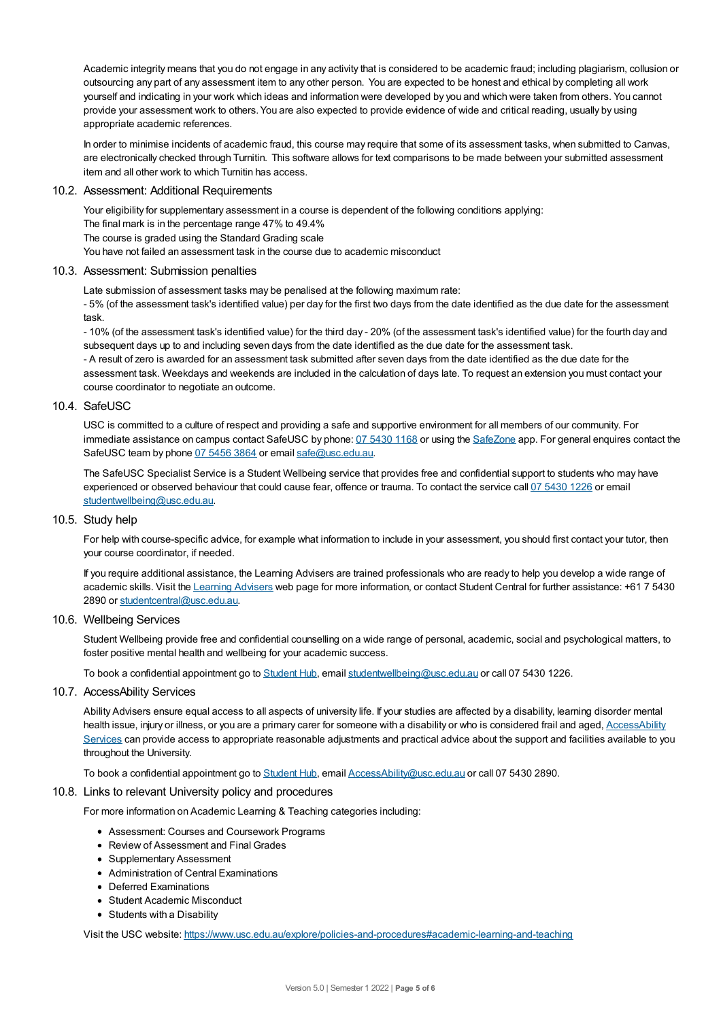Academic integrity means that you do not engage in any activity that is considered to be academic fraud; including plagiarism, collusion or outsourcing any part of any assessment item to any other person. You are expected to be honest and ethical by completing all work yourself and indicating in your work which ideas and information were developed by you and which were taken from others. You cannot provide your assessment work to others.You are also expected to provide evidence of wide and critical reading, usually by using appropriate academic references.

In order to minimise incidents of academic fraud, this course may require that some of its assessment tasks, when submitted to Canvas, are electronically checked through Turnitin. This software allows for text comparisons to be made between your submitted assessment item and all other work to which Turnitin has access.

#### 10.2. Assessment: Additional Requirements

Your eligibility for supplementary assessment in a course is dependent of the following conditions applying: The final mark is in the percentage range 47% to 49.4% The course is graded using the Standard Grading scale You have not failed an assessment task in the course due to academic misconduct

#### 10.3. Assessment: Submission penalties

Late submission of assessment tasks may be penalised at the following maximum rate:

- 5% (of the assessment task's identified value) per day for the first two days from the date identified as the due date for the assessment task.

- 10% (of the assessment task's identified value) for the third day - 20% (of the assessment task's identified value) for the fourth day and subsequent days up to and including seven days from the date identified as the due date for the assessment task.

- A result of zero is awarded for an assessment task submitted after seven days from the date identified as the due date for the assessment task. Weekdays and weekends are included in the calculation of days late. To request an extension you must contact your course coordinator to negotiate an outcome.

## 10.4. SafeUSC

USC is committed to a culture of respect and providing a safe and supportive environment for all members of our community. For immediate assistance on campus contact SafeUSC by phone: 07 [5430](tel:07%205430%201168) 1168 or using the [SafeZone](https://www.safezoneapp.com) app. For general enquires contact the SafeUSC team by phone 07 [5456](tel:07%205456%203864) 3864 or email [safe@usc.edu.au](mailto:safe@usc.edu.au).

The SafeUSC Specialist Service is a Student Wellbeing service that provides free and confidential support to students who may have experienced or observed behaviour that could cause fear, offence or trauma. To contact the service call 07 [5430](tel:07%205430%201226) 1226 or email [studentwellbeing@usc.edu.au](mailto:studentwellbeing@usc.edu.au).

#### 10.5. Study help

For help with course-specific advice, for example what information to include in your assessment, you should first contact your tutor, then your course coordinator, if needed.

If you require additional assistance, the Learning Advisers are trained professionals who are ready to help you develop a wide range of academic skills. Visit the Learning [Advisers](https://www.usc.edu.au/current-students/student-support/academic-and-study-support/learning-advisers) web page for more information, or contact Student Central for further assistance: +61 7 5430 2890 or [studentcentral@usc.edu.au](mailto:studentcentral@usc.edu.au).

#### 10.6. Wellbeing Services

Student Wellbeing provide free and confidential counselling on a wide range of personal, academic, social and psychological matters, to foster positive mental health and wellbeing for your academic success.

To book a confidential appointment go to [Student](https://studenthub.usc.edu.au/) Hub, email [studentwellbeing@usc.edu.au](mailto:studentwellbeing@usc.edu.au) or call 07 5430 1226.

#### 10.7. AccessAbility Services

Ability Advisers ensure equal access to all aspects of university life. If your studies are affected by a disability, learning disorder mental health issue, injury or illness, or you are a primary carer for someone with a disability or who is considered frail and aged, [AccessAbility](https://www.usc.edu.au/learn/student-support/accessability-services/documentation-requirements) Services can provide access to appropriate reasonable adjustments and practical advice about the support and facilities available to you throughout the University.

To book a confidential appointment go to [Student](https://studenthub.usc.edu.au/) Hub, email [AccessAbility@usc.edu.au](mailto:AccessAbility@usc.edu.au) or call 07 5430 2890.

#### 10.8. Links to relevant University policy and procedures

For more information on Academic Learning & Teaching categories including:

- Assessment: Courses and Coursework Programs
- Review of Assessment and Final Grades
- Supplementary Assessment
- Administration of Central Examinations
- Deferred Examinations
- Student Academic Misconduct
- Students with a Disability

Visit the USC website: <https://www.usc.edu.au/explore/policies-and-procedures#academic-learning-and-teaching>